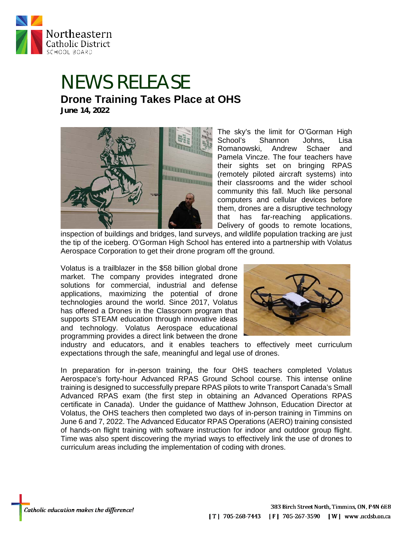

## NEWS RELEASE **Drone Training Takes Place at OHS June 14, 2022**



The sky's the limit for O'Gorman High School's Shannon Johns, Lisa Romanowski, Andrew Schaer and Pamela Vincze. The four teachers have their sights set on bringing RPAS (remotely piloted aircraft systems) into their classrooms and the wider school community this fall. Much like personal computers and cellular devices before them, drones are a disruptive technology that has far-reaching applications. Delivery of goods to remote locations,

inspection of buildings and bridges, land surveys, and wildlife population tracking are just the tip of the iceberg. O'Gorman High School has entered into a partnership with Volatus Aerospace Corporation to get their drone program off the ground.

Volatus is a trailblazer in the \$58 billion global drone market. The company provides integrated drone solutions for commercial, industrial and defense applications, maximizing the potential of drone technologies around the world. Since 2017, Volatus has offered a Drones in the Classroom program that supports STEAM education through innovative ideas and technology. Volatus Aerospace educational programming provides a direct link between the drone



industry and educators, and it enables teachers to effectively meet curriculum expectations through the safe, meaningful and legal use of drones.

In preparation for in-person training, the four OHS teachers completed Volatus Aerospace's forty-hour Advanced RPAS Ground School course. This intense online training is designed to successfully prepare RPAS pilots to write Transport Canada's Small Advanced RPAS exam (the first step in obtaining an Advanced Operations RPAS certificate in Canada). Under the guidance of Matthew Johnson, Education Director at Volatus, the OHS teachers then completed two days of in-person training in Timmins on June 6 and 7, 2022. The Advanced Educator RPAS Operations (AERO) training consisted of hands-on flight training with software instruction for indoor and outdoor group flight. Time was also spent discovering the myriad ways to effectively link the use of drones to curriculum areas including the implementation of coding with drones.